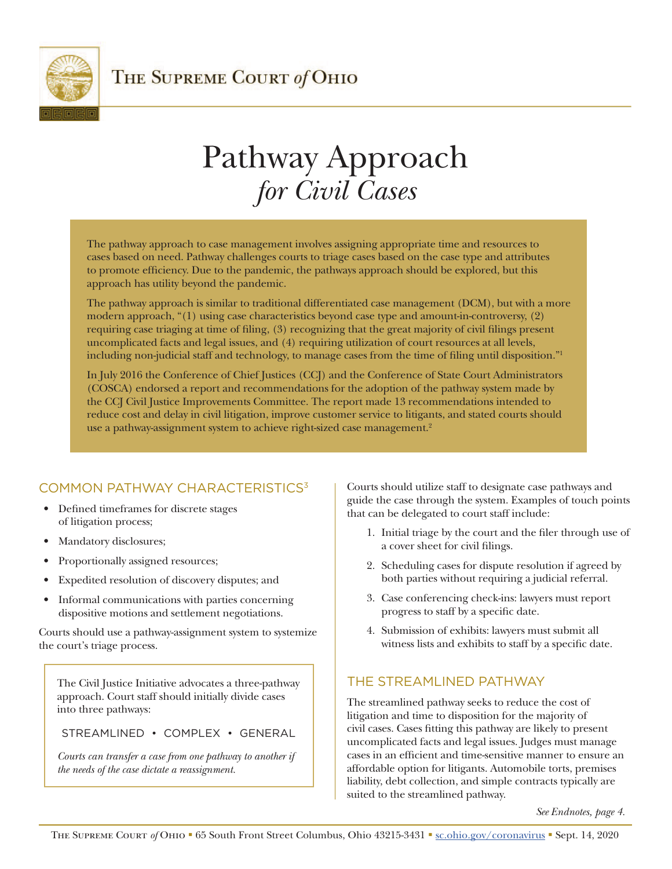<span id="page-0-0"></span>

# Pathway Approach *for Civil Cases*

The pathway approach to case management involves assigning appropriate time and resources to cases based on need. Pathway challenges courts to triage cases based on the case type and attributes to promote efficiency. Due to the pandemic, the pathways approach should be explored, but this approach has utility beyond the pandemic.

The pathway approach is similar to traditional differentiated case management (DCM), but with a more modern approach, "(1) using case characteristics beyond case type and amount-in-controversy, (2) requiring case triaging at time of filing, (3) recognizing that the great majority of civil filings present uncomplicated facts and legal issues, and (4) requiring utilization of court resources at all levels, including non-judicial staff and technology, to manage cases from the time of filing until disposition.["1](#page-3-0)

In July 2016 the Conference of Chief Justices (CCJ) and the Conference of State Court Administrators (COSCA) endorsed a report and recommendations for the adoption of the pathway system made by the CCJ Civil Justice Improvements Committee. The report made 13 recommendations intended to reduce cost and delay in civil litigation, improve customer service to litigants, and stated courts should use a pathway-assignment system to achieve right-sized case management.<sup>[2](#page-3-0)</sup>

# COMMON PATHWAY CHARACTERISTIC[S3](#page-3-0)

- Defined timeframes for discrete stages of litigation process;
- Mandatory disclosures;
- Proportionally assigned resources;
- Expedited resolution of discovery disputes; and
- Informal communications with parties concerning dispositive motions and settlement negotiations.

Courts should use a pathway-assignment system to systemize the court's triage process.

The Civil Justice Initiative advocates a three-pathway approach. Court staff should initially divide cases into three pathways:

STREAMLINED • COMPLEX • GENERAL

*Courts can transfer a case from one pathway to another if the needs of the case dictate a reassignment.*

Courts should utilize staff to designate case pathways and guide the case through the system. Examples of touch points that can be delegated to court staff include:

- 1. Initial triage by the court and the filer through use of a cover sheet for civil filings.
- 2. Scheduling cases for dispute resolution if agreed by both parties without requiring a judicial referral.
- 3. Case conferencing check-ins: lawyers must report progress to staff by a specific date.
- 4. Submission of exhibits: lawyers must submit all witness lists and exhibits to staff by a specific date.

## THE STREAMLINED PATHWAY

The streamlined pathway seeks to reduce the cost of litigation and time to disposition for the majority of civil cases. Cases fitting this pathway are likely to present uncomplicated facts and legal issues. Judges must manage cases in an efficient and time-sensitive manner to ensure an affordable option for litigants. Automobile torts, premises liability, debt collection, and simple contracts typically are suited to the streamlined pathway.

*See Endnotes, page 4.*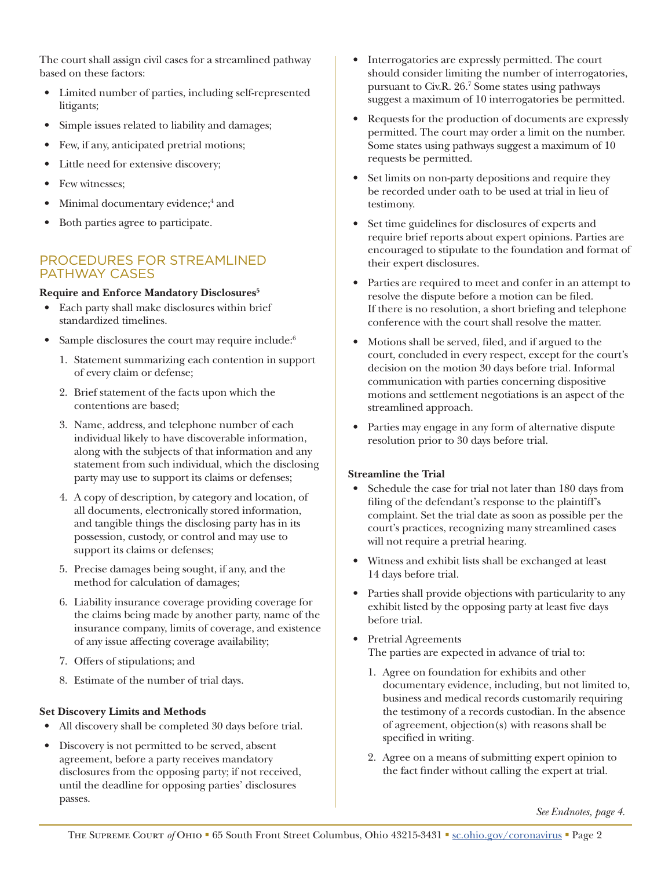<span id="page-1-0"></span>The court shall assign civil cases for a streamlined pathway based on these factors:

- Limited number of parties, including self-represented litigants;
- Simple issues related to liability and damages;
- Few, if any, anticipated pretrial motions;
- Little need for extensive discovery;
- Few witnesses;
- Minimal documentary evidence;<sup>[4](#page-3-0)</sup> and
- Both parties agree to participate.

### PROCEDURES FOR STREAMLINED PATHWAY CASES

#### **Require and Enforce Mandatory Disclosures[5](#page-3-0)**

- Each party shall make disclosures within brief standardized timelines.
- Sample disclosures the court may require include:<sup>[6](#page-3-0)</sup>
	- 1. Statement summarizing each contention in support of every claim or defense;
	- 2. Brief statement of the facts upon which the contentions are based;
	- 3. Name, address, and telephone number of each individual likely to have discoverable information, along with the subjects of that information and any statement from such individual, which the disclosing party may use to support its claims or defenses;
	- 4. A copy of description, by category and location, of all documents, electronically stored information, and tangible things the disclosing party has in its possession, custody, or control and may use to support its claims or defenses;
	- 5. Precise damages being sought, if any, and the method for calculation of damages;
	- 6. Liability insurance coverage providing coverage for the claims being made by another party, name of the insurance company, limits of coverage, and existence of any issue affecting coverage availability;
	- 7. Offers of stipulations; and
	- 8. Estimate of the number of trial days.

#### **Set Discovery Limits and Methods**

- All discovery shall be completed 30 days before trial.
- Discovery is not permitted to be served, absent agreement, before a party receives mandatory disclosures from the opposing party; if not received, until the deadline for opposing parties' disclosures passes.
- Interrogatories are expressly permitted. The court should consider limiting the number of interrogatories, pursuant to Civ.R. 26.[7](#page-3-0) Some states using pathways suggest a maximum of 10 interrogatories be permitted.
- Requests for the production of documents are expressly permitted. The court may order a limit on the number. Some states using pathways suggest a maximum of 10 requests be permitted.
- Set limits on non-party depositions and require they be recorded under oath to be used at trial in lieu of testimony.
- Set time guidelines for disclosures of experts and require brief reports about expert opinions. Parties are encouraged to stipulate to the foundation and format of their expert disclosures.
- Parties are required to meet and confer in an attempt to resolve the dispute before a motion can be filed. If there is no resolution, a short briefing and telephone conference with the court shall resolve the matter.
- Motions shall be served, filed, and if argued to the court, concluded in every respect, except for the court's decision on the motion 30 days before trial. Informal communication with parties concerning dispositive motions and settlement negotiations is an aspect of the streamlined approach.
- Parties may engage in any form of alternative dispute resolution prior to 30 days before trial.

#### **Streamline the Trial**

- Schedule the case for trial not later than 180 days from filing of the defendant's response to the plaintiff's complaint. Set the trial date as soon as possible per the court's practices, recognizing many streamlined cases will not require a pretrial hearing.
- Witness and exhibit lists shall be exchanged at least 14 days before trial.
- Parties shall provide objections with particularity to any exhibit listed by the opposing party at least five days before trial.
- Pretrial Agreements The parties are expected in advance of trial to:
	- 1. Agree on foundation for exhibits and other documentary evidence, including, but not limited to, business and medical records customarily requiring the testimony of a records custodian. In the absence of agreement, objection(s) with reasons shall be specified in writing.
	- 2. Agree on a means of submitting expert opinion to the fact finder without calling the expert at trial.

*See Endnotes, page 4.*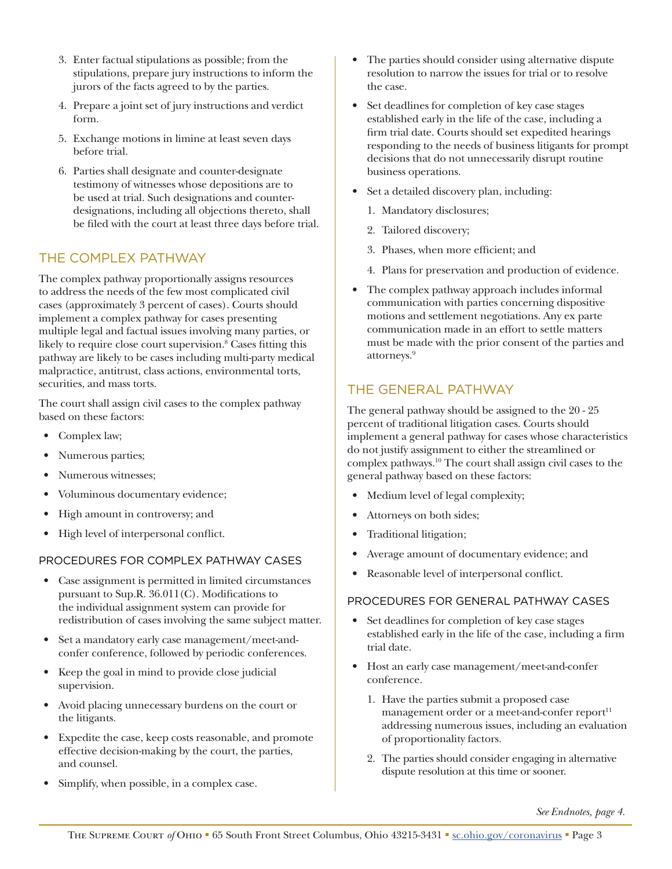- <span id="page-2-0"></span>3. Enter factual stipulations as possible; from the stipulations, prepare jury instructions to inform the jurors of the facts agreed to by the parties.
- 4. Prepare a joint set of jury instructions and verdict form.
- 5. Exchange motions in limine at least seven days before trial.
- 6. Parties shall designate and counter-designate testimony of witnesses whose depositions are to be used at trial. Such designations and counterdesignations, including all objections thereto, shall be filed with the court at least three days before trial.

## THE COMPLEX PATHWAY

The complex pathway proportionally assigns resources to address the needs of the few most complicated civil cases (approximately 3 percent of cases). Courts should implement a complex pathway for cases presenting multiple legal and factual issues involving many parties, or likely to require close court supervision.<sup>[8](#page-3-0)</sup> Cases fitting this pathway are likely to be cases including multi-party medical malpractice, antitrust, class actions, environmental torts, securities, and mass torts.

The court shall assign civil cases to the complex pathway based on these factors:

- Complex law;
- Numerous parties;
- Numerous witnesses;
- Voluminous documentary evidence;
- High amount in controversy; and
- High level of interpersonal conflict.

#### PROCEDURES FOR COMPLEX PATHWAY CASES

- Case assignment is permitted in limited circumstances pursuant to Sup.R. 36.011(C). Modifications to the individual assignment system can provide for redistribution of cases involving the same subject matter.
- Set a mandatory early case management/meet-andconfer conference, followed by periodic conferences.
- Keep the goal in mind to provide close judicial supervision.
- Avoid placing unnecessary burdens on the court or the litigants.
- Expedite the case, keep costs reasonable, and promote effective decision-making by the court, the parties, and counsel.
- Simplify, when possible, in a complex case.
- The parties should consider using alternative dispute resolution to narrow the issues for trial or to resolve the case.
- Set deadlines for completion of key case stages established early in the life of the case, including a firm trial date. Courts should set expedited hearings responding to the needs of business litigants for prompt decisions that do not unnecessarily disrupt routine business operations.
- Set a detailed discovery plan, including:
	- 1. Mandatory disclosures;
	- 2. Tailored discovery;
	- 3. Phases, when more efficient; and
	- 4. Plans for preservation and production of evidence.
- The complex pathway approach includes informal communication with parties concerning dispositive motions and settlement negotiations. Any ex parte communication made in an effort to settle matters must be made with the prior consent of the parties and attorneys.[9](#page-3-0)

## THE GENERAL PATHWAY

The general pathway should be assigned to the 20 - 25 percent of traditional litigation cases. Courts should implement a general pathway for cases whose characteristics do not justify assignment to either the streamlined or complex pathways[.10](#page-3-0) The court shall assign civil cases to the general pathway based on these factors:

- Medium level of legal complexity;
- Attorneys on both sides;
- Traditional litigation;
- Average amount of documentary evidence; and
- Reasonable level of interpersonal conflict.

#### PROCEDURES FOR GENERAL PATHWAY CASES

- Set deadlines for completion of key case stages established early in the life of the case, including a firm trial date.
- Host an early case management/meet-and-confer conference.
	- 1. Have the parties submit a proposed case management order or a meet-and-confer report<sup>[11](#page-3-0)</sup> addressing numerous issues, including an evaluation of proportionality factors.
	- 2. The parties should consider engaging in alternative dispute resolution at this time or sooner.

*See Endnotes, page 4.*